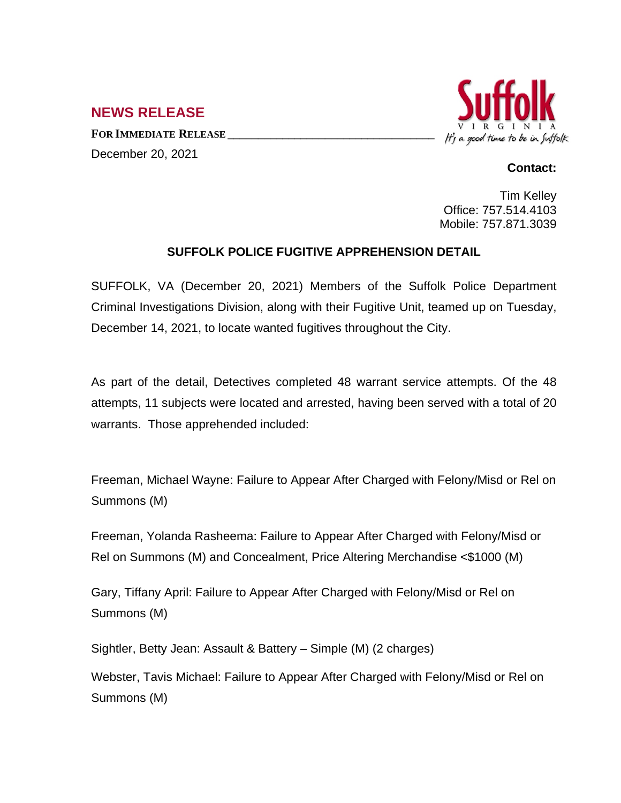## **NEWS RELEASE**

**FOR IMMEDIATE RELEASE \_\_\_\_\_\_\_\_\_\_\_\_\_\_\_\_\_\_\_\_\_\_\_\_\_\_\_\_\_\_\_\_\_\_** December 20, 2021



## **Contact:**

Tim Kelley Office: 757.514.4103 Mobile: 757.871.3039

## **SUFFOLK POLICE FUGITIVE APPREHENSION DETAIL**

SUFFOLK, VA (December 20, 2021) Members of the Suffolk Police Department Criminal Investigations Division, along with their Fugitive Unit, teamed up on Tuesday, December 14, 2021, to locate wanted fugitives throughout the City.

As part of the detail, Detectives completed 48 warrant service attempts. Of the 48 attempts, 11 subjects were located and arrested, having been served with a total of 20 warrants. Those apprehended included:

Freeman, Michael Wayne: Failure to Appear After Charged with Felony/Misd or Rel on Summons (M)

Freeman, Yolanda Rasheema: Failure to Appear After Charged with Felony/Misd or Rel on Summons (M) and Concealment, Price Altering Merchandise <\$1000 (M)

Gary, Tiffany April: Failure to Appear After Charged with Felony/Misd or Rel on Summons (M)

Sightler, Betty Jean: Assault & Battery – Simple (M) (2 charges)

Webster, Tavis Michael: Failure to Appear After Charged with Felony/Misd or Rel on Summons (M)